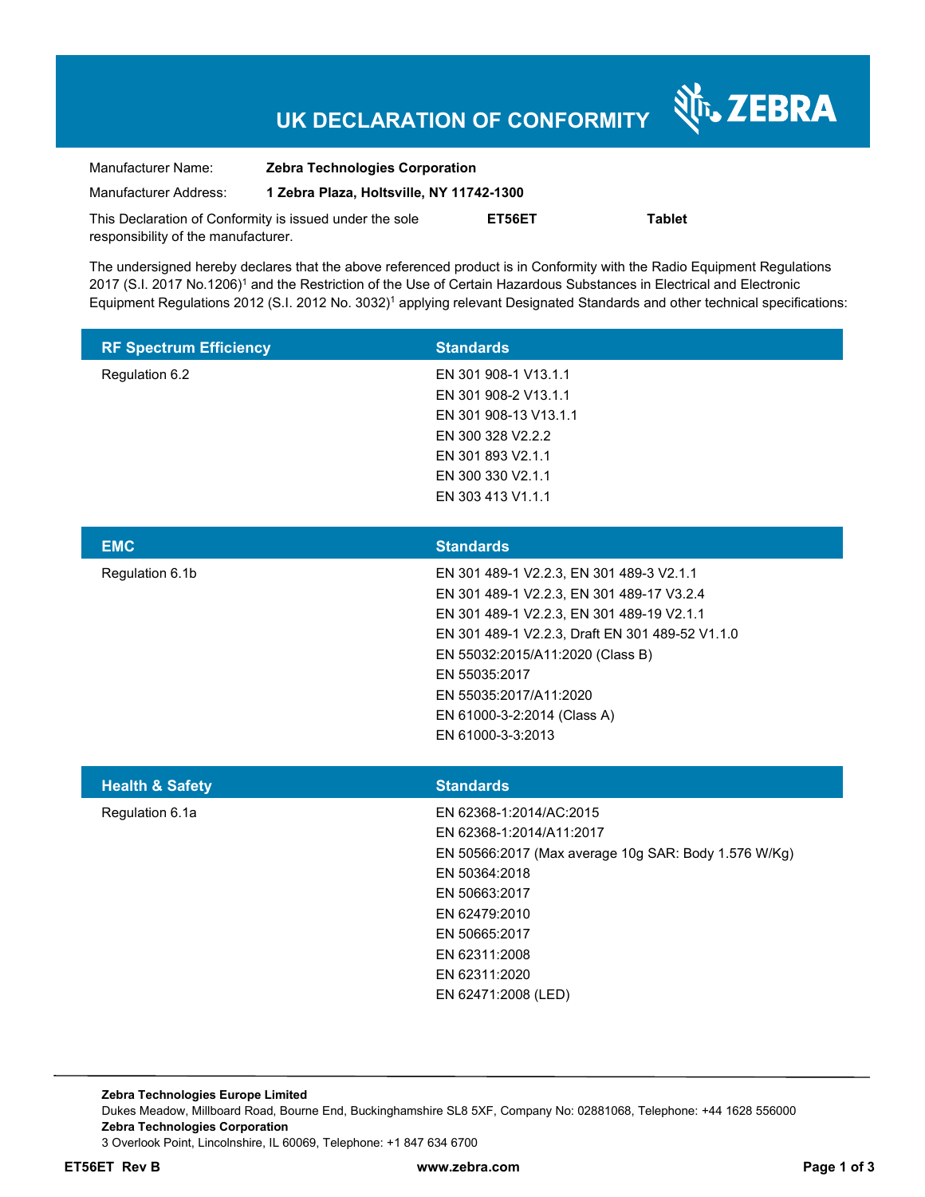# **UK DECLARATION OF CONFORMITY**

Nr. ZEBRA

| Manufacturer Name:                                      | <b>Zebra Technologies Corporation</b>    |        |        |  |
|---------------------------------------------------------|------------------------------------------|--------|--------|--|
| Manufacturer Address:                                   | 1 Zebra Plaza, Holtsville, NY 11742-1300 |        |        |  |
| This Declaration of Conformity is issued under the sole |                                          | ET56ET | Tablet |  |
| responsibility of the manufacturer.                     |                                          |        |        |  |

The undersigned hereby declares that the above referenced product is in Conformity with the Radio Equipment Regulations 2017 (S.I. 2017 No.1206)<sup>1</sup> and the Restriction of the Use of Certain Hazardous Substances in Electrical and Electronic Equipment Regulations 2012 (S.I. 2012 No. 3032)<sup>1</sup> applying relevant Designated Standards and other technical specifications:

| <b>RF Spectrum Efficiency</b> | <b>Standards</b>                                                                                                                                                                                                                                                                                                         |
|-------------------------------|--------------------------------------------------------------------------------------------------------------------------------------------------------------------------------------------------------------------------------------------------------------------------------------------------------------------------|
| Regulation 6.2                | EN 301 908-1 V13.1.1<br>EN 301 908-2 V13.1.1<br>EN 301 908-13 V13.1.1<br>EN 300 328 V2.2.2<br>EN 301 893 V2.1.1<br>EN 300 330 V2.1.1<br>EN 303 413 V1.1.1                                                                                                                                                                |
| <b>EMC</b>                    | <b>Standards</b>                                                                                                                                                                                                                                                                                                         |
| Regulation 6.1b               | EN 301 489-1 V2.2.3, EN 301 489-3 V2.1.1<br>EN 301 489-1 V2.2.3, EN 301 489-17 V3.2.4<br>EN 301 489-1 V2.2.3, EN 301 489-19 V2.1.1<br>EN 301 489-1 V2.2.3, Draft EN 301 489-52 V1.1.0<br>EN 55032:2015/A11:2020 (Class B)<br>EN 55035:2017<br>EN 55035:2017/A11:2020<br>EN 61000-3-2:2014 (Class A)<br>EN 61000-3-3:2013 |
| <b>Health &amp; Safety</b>    | <b>Standards</b>                                                                                                                                                                                                                                                                                                         |
| Regulation 6.1a               | EN 62368-1:2014/AC:2015<br>EN 62368-1:2014/A11:2017<br>EN 50566:2017 (Max average 10g SAR: Body 1.576 W/Kg)<br>EN 50364:2018<br>EN 50663:2017<br>EN 62479:2010<br>EN 50665:2017<br>EN 62311:2008<br>EN 62311:2020<br>EN 62471:2008 (LED)                                                                                 |

**Zebra Technologies Europe Limited**  Dukes Meadow, Millboard Road, Bourne End, Buckinghamshire SL8 5XF, Company No: 02881068, Telephone: +44 1628 556000 **Zebra Technologies Corporation**  3 Overlook Point, Lincolnshire, IL 60069, Telephone: +1 847 634 6700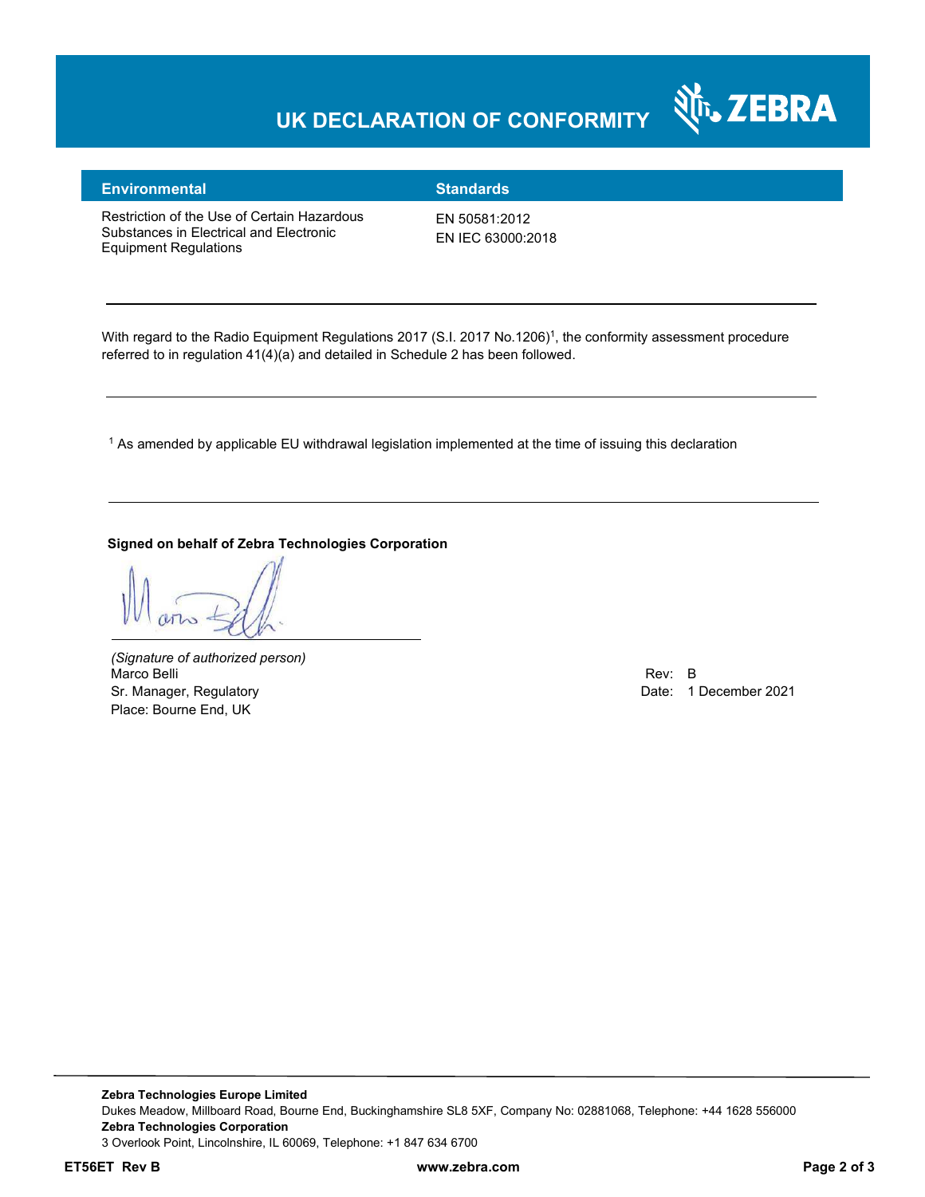# **UK DECLARATION OF CONFORMITY**



### **Environmental Standards**

Restriction of the Use of Certain Hazardous Substances in Electrical and Electronic Equipment Regulations

EN 50581:2012 EN IEC 63000:2018

With regard to the Radio Equipment Regulations 2017 (S.I. 2017 No.1206)<sup>1</sup>, the conformity assessment procedure referred to in regulation 41(4)(a) and detailed in Schedule 2 has been followed.

1 As amended by applicable EU withdrawal legislation implemented at the time of issuing this declaration

**Signed on behalf of Zebra Technologies Corporation** 

*(Signature of authorized person)* Marco Belli Rev: B مستقادة المستقادة المستقدمة المستقدمة المستقدمة المستقدمة المستقدمة المستقدمة المستقدمة المستقدمة Sr. Manager, Regulatory **Date: 1 December 2021** Control of the United States of the Date: 1 December 2021 Place: Bourne End, UK